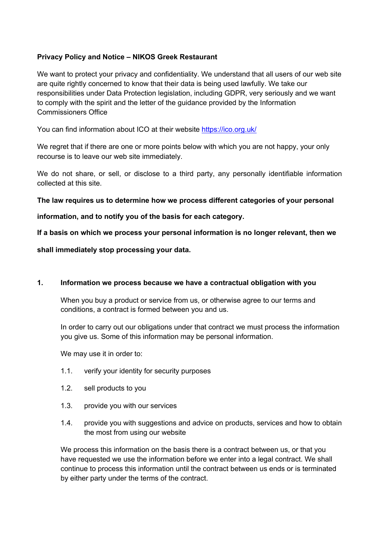# **Privacy Policy and Notice – NIKOS Greek Restaurant**

We want to protect your privacy and confidentiality. We understand that all users of our web site are quite rightly concerned to know that their data is being used lawfully. We take our responsibilities under Data Protection legislation, including GDPR, very seriously and we want to comply with the spirit and the letter of the guidance provided by the Information Commissioners Office

You can find information about ICO at their website https://ico.org.uk/

We regret that if there are one or more points below with which you are not happy, your only recourse is to leave our web site immediately.

We do not share, or sell, or disclose to a third party, any personally identifiable information collected at this site.

## **The law requires us to determine how we process different categories of your personal**

**information, and to notify you of the basis for each category.**

**If a basis on which we process your personal information is no longer relevant, then we**

**shall immediately stop processing your data.**

## **1. Information we process because we have a contractual obligation with you**

When you buy a product or service from us, or otherwise agree to our terms and conditions, a contract is formed between you and us.

In order to carry out our obligations under that contract we must process the information you give us. Some of this information may be personal information.

We may use it in order to:

- 1.1. verify your identity for security purposes
- 1.2. sell products to you
- 1.3. provide you with our services
- 1.4. provide you with suggestions and advice on products, services and how to obtain the most from using our website

We process this information on the basis there is a contract between us, or that you have requested we use the information before we enter into a legal contract. We shall continue to process this information until the contract between us ends or is terminated by either party under the terms of the contract.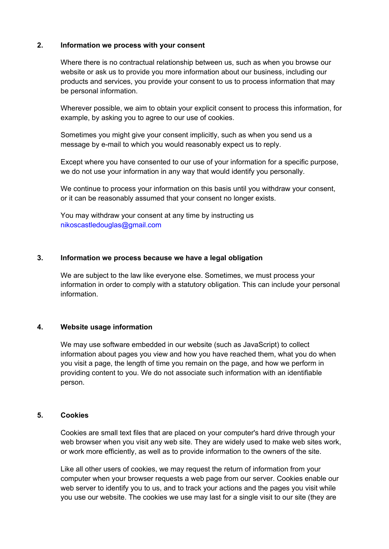# **2. Information we process with your consent**

Where there is no contractual relationship between us, such as when you browse our website or ask us to provide you more information about our business, including our products and services, you provide your consent to us to process information that may be personal information.

Wherever possible, we aim to obtain your explicit consent to process this information, for example, by asking you to agree to our use of cookies.

Sometimes you might give your consent implicitly, such as when you send us a message by e-mail to which you would reasonably expect us to reply.

Except where you have consented to our use of your information for a specific purpose, we do not use your information in any way that would identify you personally.

We continue to process your information on this basis until you withdraw your consent, or it can be reasonably assumed that your consent no longer exists.

You may withdraw your consent at any time by instructing us nikoscastledouglas@gmail.com

## **3. Information we process because we have a legal obligation**

We are subject to the law like everyone else. Sometimes, we must process your information in order to comply with a statutory obligation. This can include your personal information.

# **4. Website usage information**

We may use software embedded in our website (such as JavaScript) to collect information about pages you view and how you have reached them, what you do when you visit a page, the length of time you remain on the page, and how we perform in providing content to you. We do not associate such information with an identifiable person.

# **5. Cookies**

Cookies are small text files that are placed on your computer's hard drive through your web browser when you visit any web site. They are widely used to make web sites work, or work more efficiently, as well as to provide information to the owners of the site.

Like all other users of cookies, we may request the return of information from your computer when your browser requests a web page from our server. Cookies enable our web server to identify you to us, and to track your actions and the pages you visit while you use our website. The cookies we use may last for a single visit to our site (they are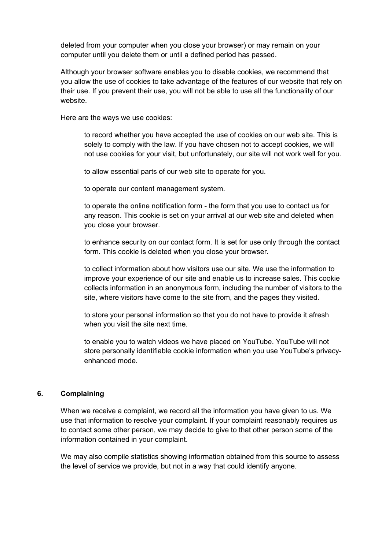deleted from your computer when you close your browser) or may remain on your computer until you delete them or until a defined period has passed.

Although your browser software enables you to disable cookies, we recommend that you allow the use of cookies to take advantage of the features of our website that rely on their use. If you prevent their use, you will not be able to use all the functionality of our website.

Here are the ways we use cookies:

to record whether you have accepted the use of cookies on our web site. This is solely to comply with the law. If you have chosen not to accept cookies, we will not use cookies for your visit, but unfortunately, our site will not work well for you.

to allow essential parts of our web site to operate for you.

to operate our content management system.

to operate the online notification form - the form that you use to contact us for any reason. This cookie is set on your arrival at our web site and deleted when you close your browser.

to enhance security on our contact form. It is set for use only through the contact form. This cookie is deleted when you close your browser.

to collect information about how visitors use our site. We use the information to improve your experience of our site and enable us to increase sales. This cookie collects information in an anonymous form, including the number of visitors to the site, where visitors have come to the site from, and the pages they visited.

to store your personal information so that you do not have to provide it afresh when you visit the site next time.

to enable you to watch videos we have placed on YouTube. YouTube will not store personally identifiable cookie information when you use YouTube's privacyenhanced mode.

#### **6. Complaining**

When we receive a complaint, we record all the information you have given to us. We use that information to resolve your complaint. If your complaint reasonably requires us to contact some other person, we may decide to give to that other person some of the information contained in your complaint.

We may also compile statistics showing information obtained from this source to assess the level of service we provide, but not in a way that could identify anyone.